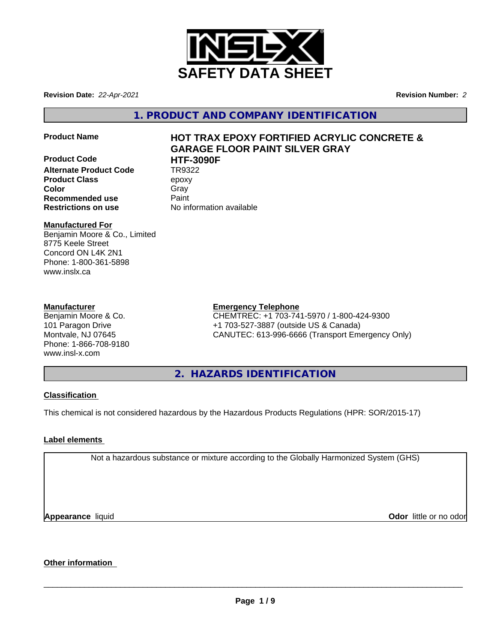

**Revision Date:** *22-Apr-2021* **Revision Number:** *2*

**1. PRODUCT AND COMPANY IDENTIFICATION**

**Product Code HTF-3090F Alternate Product Code Product Class** epoxy **Color** Gray Gray **Recommended use** Paint **Restrictions on use** No information available

# **Product Name HOT TRAX EPOXY FORTIFIED ACRYLIC CONCRETE & GARAGE FLOOR PAINT SILVER GRAY**

## **Manufactured For**

Benjamin Moore & Co., Limited 8775 Keele Street Concord ON L4K 2N1 Phone: 1-800-361-5898 www.inslx.ca

## **Manufacturer**

Benjamin Moore & Co. 101 Paragon Drive Montvale, NJ 07645 Phone: 1-866-708-9180 www.insl-x.com

# **Emergency Telephone**

CHEMTREC: +1 703-741-5970 / 1-800-424-9300 +1 703-527-3887 (outside US & Canada) CANUTEC: 613-996-6666 (Transport Emergency Only)

**2. HAZARDS IDENTIFICATION**

## **Classification**

This chemical is not considered hazardous by the Hazardous Products Regulations (HPR: SOR/2015-17)

# **Label elements**

Not a hazardous substance or mixture according to the Globally Harmonized System (GHS)

**Appearance** liquid

**Odor** little or no odor

# **Other information**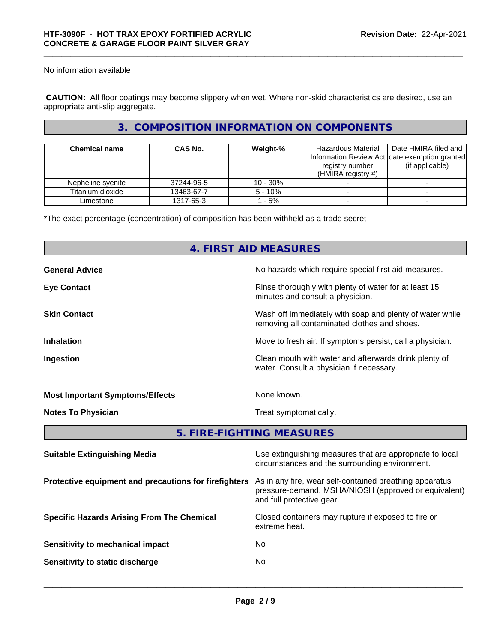No information available

 **CAUTION:** All floor coatings may become slippery when wet. Where non-skid characteristics are desired, use an appropriate anti-slip aggregate.

# **3. COMPOSITION INFORMATION ON COMPONENTS**

| <b>Chemical name</b> | <b>CAS No.</b> | Weight-%   | Hazardous Material<br>registry number<br>(HMIRA registry $#$ ) | Date HMIRA filed and<br>Information Review Act Idate exemption granted<br>(if applicable) |
|----------------------|----------------|------------|----------------------------------------------------------------|-------------------------------------------------------------------------------------------|
| Nepheline syenite    | 37244-96-5     | $10 - 30%$ |                                                                |                                                                                           |
| Titanium dioxide     | 13463-67-7     | $5 - 10%$  |                                                                |                                                                                           |
| Limestone            | 1317-65-3      | - 5%       |                                                                |                                                                                           |

\*The exact percentage (concentration) of composition has been withheld as a trade secret

|                                        | 4. FIRST AID MEASURES                                                                                    |  |  |  |  |
|----------------------------------------|----------------------------------------------------------------------------------------------------------|--|--|--|--|
| <b>General Advice</b>                  | No hazards which require special first aid measures.                                                     |  |  |  |  |
| <b>Eye Contact</b>                     | Rinse thoroughly with plenty of water for at least 15<br>minutes and consult a physician.                |  |  |  |  |
| <b>Skin Contact</b>                    | Wash off immediately with soap and plenty of water while<br>removing all contaminated clothes and shoes. |  |  |  |  |
| <b>Inhalation</b>                      | Move to fresh air. If symptoms persist, call a physician.                                                |  |  |  |  |
| Ingestion                              | Clean mouth with water and afterwards drink plenty of<br>water. Consult a physician if necessary.        |  |  |  |  |
| <b>Most Important Symptoms/Effects</b> | None known.                                                                                              |  |  |  |  |
| <b>Notes To Physician</b>              | Treat symptomatically.                                                                                   |  |  |  |  |
|                                        | 5. FIRE-FIGHTING MEASURES                                                                                |  |  |  |  |
|                                        |                                                                                                          |  |  |  |  |

| <b>Suitable Extinguishing Media</b>                   | Use extinguishing measures that are appropriate to local<br>circumstances and the surrounding environment.                                   |
|-------------------------------------------------------|----------------------------------------------------------------------------------------------------------------------------------------------|
| Protective equipment and precautions for firefighters | As in any fire, wear self-contained breathing apparatus<br>pressure-demand, MSHA/NIOSH (approved or equivalent)<br>and full protective gear. |
| <b>Specific Hazards Arising From The Chemical</b>     | Closed containers may rupture if exposed to fire or<br>extreme heat.                                                                         |
| Sensitivity to mechanical impact                      | No.                                                                                                                                          |
| Sensitivity to static discharge                       | No.                                                                                                                                          |
|                                                       |                                                                                                                                              |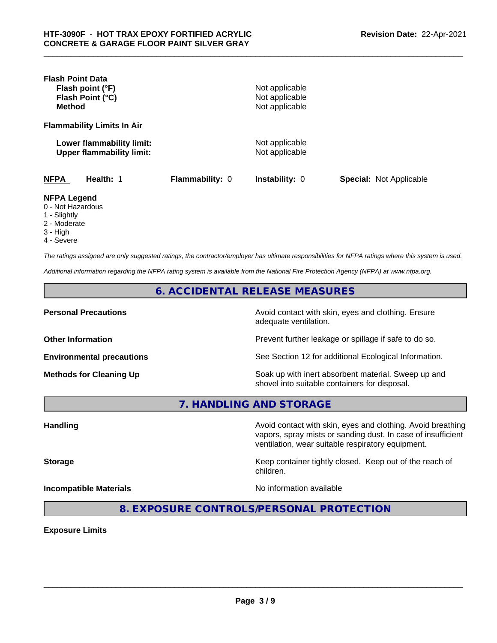| <b>Flash Point Data</b><br>Flash point (°F)<br>Flash Point (°C)<br><b>Method</b> |                 | Not applicable<br>Not applicable<br>Not applicable |                                |
|----------------------------------------------------------------------------------|-----------------|----------------------------------------------------|--------------------------------|
| <b>Flammability Limits In Air</b>                                                |                 |                                                    |                                |
| Lower flammability limit:<br><b>Upper flammability limit:</b>                    |                 | Not applicable<br>Not applicable                   |                                |
| <b>NFPA</b><br>Health: 1                                                         | Flammability: 0 | <b>Instability: 0</b>                              | <b>Special: Not Applicable</b> |
| <b>NFPA Legend</b><br>0 - Not Hazardous<br>1 - Slightly                          |                 |                                                    |                                |

- 2 Moderate
- 3 High
- 4 Severe

*The ratings assigned are only suggested ratings, the contractor/employer has ultimate responsibilities for NFPA ratings where this system is used.*

*Additional information regarding the NFPA rating system is available from the National Fire Protection Agency (NFPA) at www.nfpa.org.*

**6. ACCIDENTAL RELEASE MEASURES**

**Personal Precautions Precautions** Avoid contact with skin, eyes and clothing. Ensure adequate ventilation.

**Other Information Other Information Prevent further leakage or spillage if safe to do so.** 

**Environmental precautions** See Section 12 for additional Ecological Information.

**Methods for Cleaning Up Soak up with inert absorbent material. Sweep up and** shovel into suitable containers for disposal.

vapors, spray mists or sanding dust. In case of insufficient

ventilation, wear suitable respiratory equipment.

**7. HANDLING AND STORAGE**

Handling **Handling Avoid contact with skin, eyes and clothing. Avoid breathing Handling** 

**Storage Keep container tightly closed. Keep out of the reach of Keep** container tightly closed. Keep out of the reach of

**Incompatible Materials** Noinformation available

 $\overline{\phantom{a}}$  ,  $\overline{\phantom{a}}$  ,  $\overline{\phantom{a}}$  ,  $\overline{\phantom{a}}$  ,  $\overline{\phantom{a}}$  ,  $\overline{\phantom{a}}$  ,  $\overline{\phantom{a}}$  ,  $\overline{\phantom{a}}$  ,  $\overline{\phantom{a}}$  ,  $\overline{\phantom{a}}$  ,  $\overline{\phantom{a}}$  ,  $\overline{\phantom{a}}$  ,  $\overline{\phantom{a}}$  ,  $\overline{\phantom{a}}$  ,  $\overline{\phantom{a}}$  ,  $\overline{\phantom{a}}$ 

**8. EXPOSURE CONTROLS/PERSONAL PROTECTION**

children.

**Exposure Limits**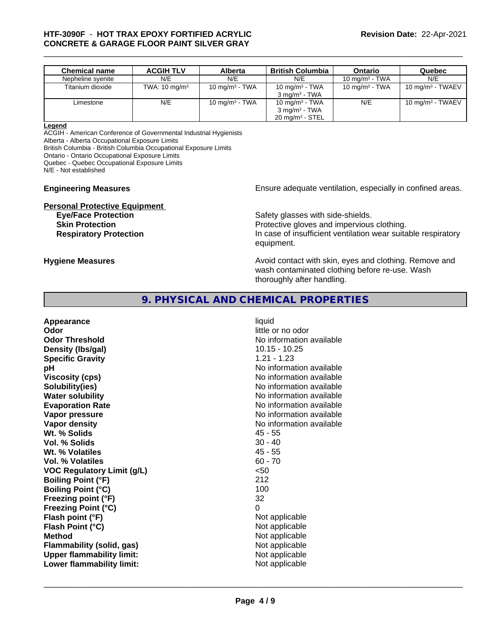# \_\_\_\_\_\_\_\_\_\_\_\_\_\_\_\_\_\_\_\_\_\_\_\_\_\_\_\_\_\_\_\_\_\_\_\_\_\_\_\_\_\_\_\_\_\_\_\_\_\_\_\_\_\_\_\_\_\_\_\_\_\_\_\_\_\_\_\_\_\_\_\_\_\_\_\_\_\_\_\_\_\_\_\_\_\_\_\_\_\_\_\_\_ **HTF-3090F** - **HOT TRAX EPOXY FORTIFIED ACRYLIC CONCRETE & GARAGE FLOOR PAINT SILVER GRAY**

| <b>Chemical name</b> | <b>ACGIH TLV</b>         | Alberta           | <b>British Columbia</b>    | Ontario           | Quebec              |
|----------------------|--------------------------|-------------------|----------------------------|-------------------|---------------------|
| Nepheline syenite    | N/E                      | N/E               | N/E                        | 10 mg/m $3$ - TWA | N/E                 |
| Titanium dioxide     | TWA: $10 \text{ mg/m}^3$ | 10 mg/m $3$ - TWA | 10 mg/m $3$ - TWA          | 10 mg/m $3$ - TWA | 10 mg/m $3$ - TWAEV |
|                      |                          |                   | $3 \text{ ma/m}^3$ - TWA   |                   |                     |
| Limestone            | N/E                      | 10 mg/m $3$ - TWA | 10 mg/m $3$ - TWA          | N/E               | 10 mg/m $3$ - TWAEV |
|                      |                          |                   | $3 \text{ mg/m}^3$ - TWA   |                   |                     |
|                      |                          |                   | $20 \text{ mg/m}^3$ - STEL |                   |                     |

#### **Legend**

ACGIH - American Conference of Governmental Industrial Hygienists

Alberta - Alberta Occupational Exposure Limits

British Columbia - British Columbia Occupational Exposure Limits

Ontario - Ontario Occupational Exposure Limits

Quebec - Quebec Occupational Exposure Limits

N/E - Not established

# **Personal Protective Equipment**<br> **Eve/Face Protection**

**Engineering Measures Ensure** Ensure adequate ventilation, especially in confined areas.

Safety glasses with side-shields. **Skin Protection Protection Protective gloves and impervious clothing. Respiratory Protection In case of insufficient ventilation wear suitable respiratory** equipment.

**Hygiene Measures Avoid contact with skin, eyes and clothing. Remove and Avoid contact with skin, eyes and clothing. Remove and Avoid contact with skin, eyes and clothing. Remove and** wash contaminated clothing before re-use. Wash thoroughly after handling.

# **9. PHYSICAL AND CHEMICAL PROPERTIES**

| liquid<br>little or no odor<br>No information available<br>$10.15 - 10.25$<br>$1.21 - 1.23$<br>No information available<br>No information available<br>No information available<br>No information available<br>No information available<br>No information available<br>No information available<br>$45 - 55$<br>$30 - 40$<br>$45 - 55$<br>$60 - 70$<br>$50$<br>212<br>100<br>32<br>0<br>Not applicable<br>Not applicable<br>Not applicable<br>Not applicable |
|--------------------------------------------------------------------------------------------------------------------------------------------------------------------------------------------------------------------------------------------------------------------------------------------------------------------------------------------------------------------------------------------------------------------------------------------------------------|
| Not applicable                                                                                                                                                                                                                                                                                                                                                                                                                                               |
| Not applicable                                                                                                                                                                                                                                                                                                                                                                                                                                               |
|                                                                                                                                                                                                                                                                                                                                                                                                                                                              |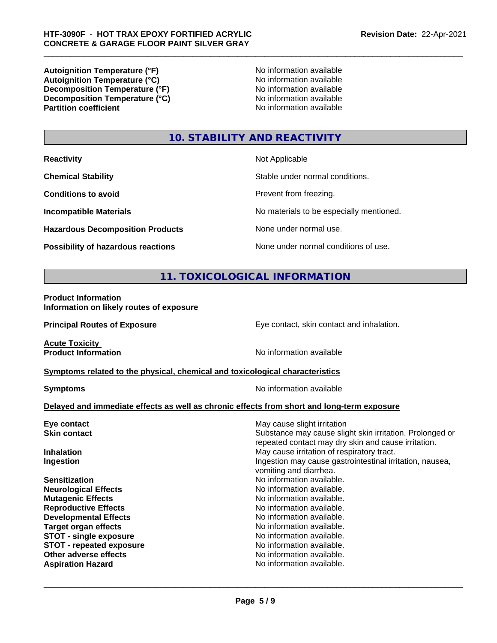**Autoignition Temperature (°F)**<br> **Autoignition Temperature (°C)** No information available **Autoignition Temperature (°C)**<br> **Decomposition Temperature (°F)** No information available **Decomposition Temperature (°F) Decomposition Temperature (°C)**<br> **Partition coefficient**<br> **Partition coefficient**<br> **No** information available

**No information available** 

# **10. STABILITY AND REACTIVITY**

| <b>Reactivity</b> |  |
|-------------------|--|
|                   |  |

**Hazardous Decomposition Products** None under normal use.

**Not Applicable** 

**Chemical Stability Chemical Stability** Stable under normal conditions.

**Conditions to avoid Prevent from freezing.** 

**Incompatible Materials No materials** No materials to be especially mentioned.

**Possibility of hazardous reactions** None under normal conditions of use.

# **11. TOXICOLOGICAL INFORMATION**

**Product Information Information on likely routes of exposure**

**Principal Routes of Exposure Exposure** Eye contact, skin contact and inhalation.

**Acute Toxicity<br>Product Information** 

**No information available** 

#### **<u>Symptoms related to the physical, chemical and toxicological characteristics</u>**

**Symptoms** No information available

 $\overline{\phantom{a}}$  ,  $\overline{\phantom{a}}$  ,  $\overline{\phantom{a}}$  ,  $\overline{\phantom{a}}$  ,  $\overline{\phantom{a}}$  ,  $\overline{\phantom{a}}$  ,  $\overline{\phantom{a}}$  ,  $\overline{\phantom{a}}$  ,  $\overline{\phantom{a}}$  ,  $\overline{\phantom{a}}$  ,  $\overline{\phantom{a}}$  ,  $\overline{\phantom{a}}$  ,  $\overline{\phantom{a}}$  ,  $\overline{\phantom{a}}$  ,  $\overline{\phantom{a}}$  ,  $\overline{\phantom{a}}$ 

#### **Delayed and immediate effects as well as chronic effects from short and long-term exposure**

| Eye contact                     | May cause slight irritation                                                                                     |
|---------------------------------|-----------------------------------------------------------------------------------------------------------------|
| <b>Skin contact</b>             | Substance may cause slight skin irritation. Prolonged or<br>repeated contact may dry skin and cause irritation. |
| <b>Inhalation</b>               | May cause irritation of respiratory tract.                                                                      |
| Ingestion                       | Ingestion may cause gastrointestinal irritation, nausea,<br>vomiting and diarrhea.                              |
| <b>Sensitization</b>            | No information available.                                                                                       |
| <b>Neurological Effects</b>     | No information available.                                                                                       |
| <b>Mutagenic Effects</b>        | No information available.                                                                                       |
| <b>Reproductive Effects</b>     | No information available.                                                                                       |
| <b>Developmental Effects</b>    | No information available.                                                                                       |
| <b>Target organ effects</b>     | No information available.                                                                                       |
| <b>STOT - single exposure</b>   | No information available.                                                                                       |
| <b>STOT - repeated exposure</b> | No information available.                                                                                       |
| Other adverse effects           | No information available.                                                                                       |
| <b>Aspiration Hazard</b>        | No information available.                                                                                       |
|                                 |                                                                                                                 |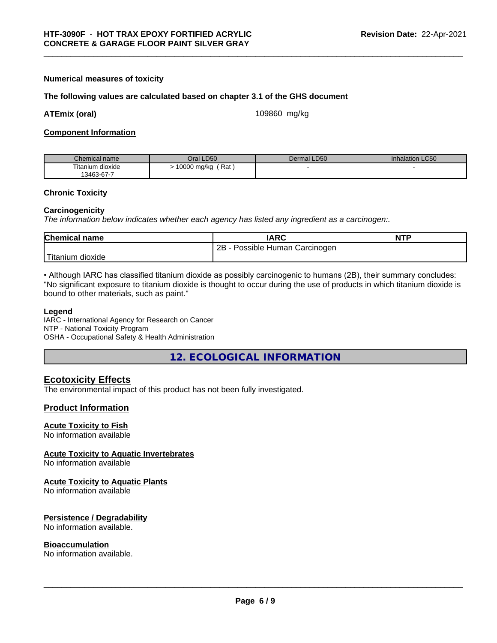#### **Numerical measures of toxicity**

#### **The following values are calculated based on chapter 3.1 of the GHS document**

**ATEmix (oral)** 109860 mg/kg

#### **Component Information**

| Chemical name                   | Oral LD50          | <b>LD50</b><br>Dermal | <b>Inhalation LC50</b> |
|---------------------------------|--------------------|-----------------------|------------------------|
| $- \cdot$ .<br>Fitanium dioxide | Rat<br>10000 mg/kg |                       |                        |
| 13463-67-7                      |                    |                       |                        |

#### **Chronic Toxicity**

#### **Carcinogenicity**

*The information below indicateswhether each agency has listed any ingredient as a carcinogen:.*

| <b>Chemical name</b>  | <b>IARC</b>                     | <b>NTP</b> |
|-----------------------|---------------------------------|------------|
|                       | Possible Human Carcinogen<br>2B |            |
| ' Titanium<br>dioxide |                                 |            |

• Although IARC has classified titanium dioxide as possibly carcinogenic to humans (2B), their summary concludes: "No significant exposure to titanium dioxide is thought to occur during the use of products in which titanium dioxide is bound to other materials, such as paint."

#### **Legend**

IARC - International Agency for Research on Cancer NTP - National Toxicity Program OSHA - Occupational Safety & Health Administration

**12. ECOLOGICAL INFORMATION**

## **Ecotoxicity Effects**

The environmental impact of this product has not been fully investigated.

#### **Product Information**

#### **Acute Toxicity to Fish**

No information available

#### **Acute Toxicity to Aquatic Invertebrates**

No information available

#### **Acute Toxicity to Aquatic Plants**

No information available

#### **Persistence / Degradability**

No information available.

#### **Bioaccumulation**

No information available.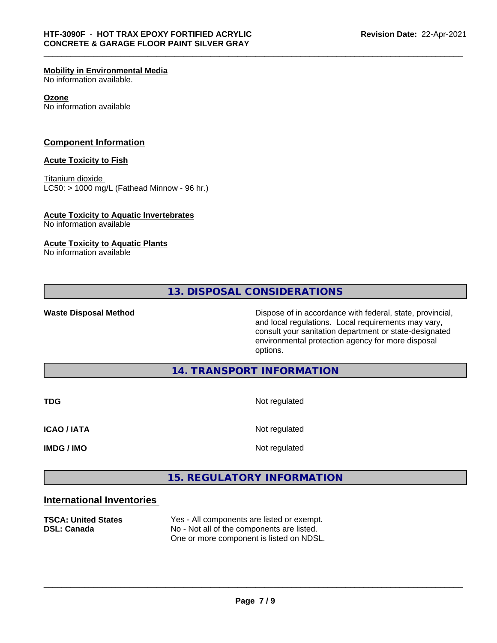#### **Mobility in Environmental Media**

No information available.

#### **Ozone**

No information available

#### **Component Information**

#### **Acute Toxicity to Fish**

Titanium dioxide  $LC50:$  > 1000 mg/L (Fathead Minnow - 96 hr.)

#### **Acute Toxicity to Aquatic Invertebrates**

No information available

#### **Acute Toxicity to Aquatic Plants**

No information available

**13. DISPOSAL CONSIDERATIONS**

**Waste Disposal Method Dispose of in accordance with federal, state, provincial,** and local regulations. Local requirements may vary, consult your sanitation department or state-designated environmental protection agency for more disposal options.

## **14. TRANSPORT INFORMATION**

**TDG** Not regulated **ICAO / IATA** Not regulated **IMDG / IMO** Not regulated

# **15. REGULATORY INFORMATION**

# **International Inventories**

**TSCA: United States** Yes - All components are listed or exempt. **DSL: Canada** No - Not all of the components are listed. One or more component is listed on NDSL.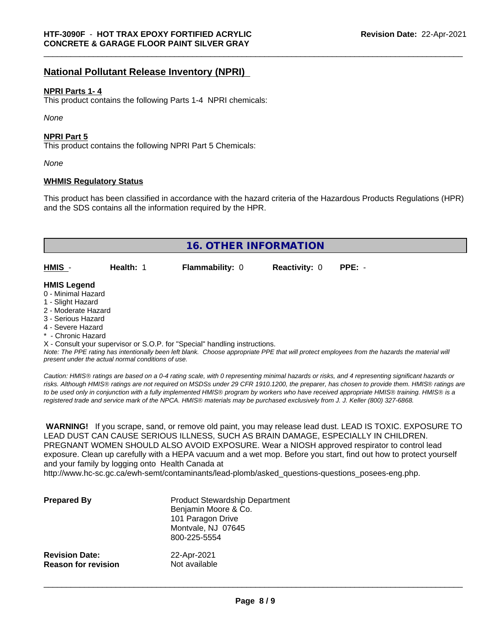# **National Pollutant Release Inventory (NPRI)**

#### **NPRI Parts 1- 4**

This product contains the following Parts 1-4 NPRI chemicals:

*None*

#### **NPRI Part 5**

This product contains the following NPRI Part 5 Chemicals:

*None*

#### **WHMIS Regulatory Status**

This product has been classified in accordance with the hazard criteria of the Hazardous Products Regulations (HPR) and the SDS contains all the information required by the HPR.

| <b>16. OTHER INFORMATION</b>                                                                                                                                                                                |           |                                                                            |                      |                                                                                                                                               |
|-------------------------------------------------------------------------------------------------------------------------------------------------------------------------------------------------------------|-----------|----------------------------------------------------------------------------|----------------------|-----------------------------------------------------------------------------------------------------------------------------------------------|
| HMIS -                                                                                                                                                                                                      | Health: 1 | <b>Flammability: 0</b>                                                     | <b>Reactivity: 0</b> | $PPE: -$                                                                                                                                      |
| <b>HMIS Legend</b><br>0 - Minimal Hazard<br>1 - Slight Hazard<br>2 - Moderate Hazard<br>3 - Serious Hazard<br>4 - Severe Hazard<br>* - Chronic Hazard<br>present under the actual normal conditions of use. |           | X - Consult your supervisor or S.O.P. for "Special" handling instructions. |                      | Note: The PPE rating has intentionally been left blank. Choose appropriate PPE that will protect employees from the hazards the material will |

*Caution: HMISÒ ratings are based on a 0-4 rating scale, with 0 representing minimal hazards or risks, and 4 representing significant hazards or risks. Although HMISÒ ratings are not required on MSDSs under 29 CFR 1910.1200, the preparer, has chosen to provide them. HMISÒ ratings are to be used only in conjunction with a fully implemented HMISÒ program by workers who have received appropriate HMISÒ training. HMISÒ is a registered trade and service mark of the NPCA. HMISÒ materials may be purchased exclusively from J. J. Keller (800) 327-6868.*

 **WARNING!** If you scrape, sand, or remove old paint, you may release lead dust. LEAD IS TOXIC. EXPOSURE TO LEAD DUST CAN CAUSE SERIOUS ILLNESS, SUCH AS BRAIN DAMAGE, ESPECIALLY IN CHILDREN. PREGNANT WOMEN SHOULD ALSO AVOID EXPOSURE.Wear a NIOSH approved respirator to control lead exposure. Clean up carefully with a HEPA vacuum and a wet mop. Before you start, find out how to protect yourself and your family by logging onto Health Canada at

http://www.hc-sc.gc.ca/ewh-semt/contaminants/lead-plomb/asked\_questions-questions\_posees-eng.php.

| <b>Prepared By</b>         | <b>Product Stewardship Department</b><br>Benjamin Moore & Co.<br>101 Paragon Drive<br>Montvale, NJ 07645<br>800-225-5554 |
|----------------------------|--------------------------------------------------------------------------------------------------------------------------|
| <b>Revision Date:</b>      | 22-Apr-2021                                                                                                              |
| <b>Reason for revision</b> | Not available                                                                                                            |